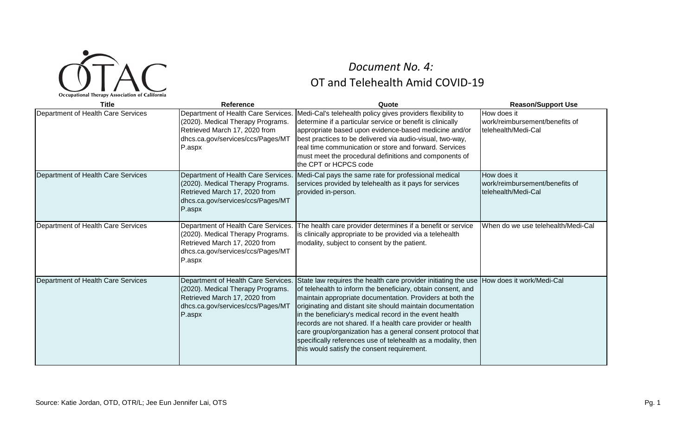

## OT and Telehealth Amid COVID‐19 *Document No. 4:*

| <b>Title</b>                       | Reference                                                                                                                                                | Quote                                                                                                                                                                                                                                                                                                                                                                                                                                                                                                                                                              | <b>Reason/Support Use</b>                                            |
|------------------------------------|----------------------------------------------------------------------------------------------------------------------------------------------------------|--------------------------------------------------------------------------------------------------------------------------------------------------------------------------------------------------------------------------------------------------------------------------------------------------------------------------------------------------------------------------------------------------------------------------------------------------------------------------------------------------------------------------------------------------------------------|----------------------------------------------------------------------|
| Department of Health Care Services | Department of Health Care Services.<br>(2020). Medical Therapy Programs.<br>Retrieved March 17, 2020 from<br>dhcs.ca.gov/services/ccs/Pages/MT<br>P.aspx | Medi-Cal's telehealth policy gives providers flexibility to<br>determine if a particular service or benefit is clinically<br>appropriate based upon evidence-based medicine and/or<br>best practices to be delivered via audio-visual, two-way,<br>real time communication or store and forward. Services<br>must meet the procedural definitions and components of<br>the CPT or HCPCS code                                                                                                                                                                       | How does it<br>work/reimbursement/benefits of<br>telehealth/Medi-Cal |
| Department of Health Care Services | Department of Health Care Services.<br>(2020). Medical Therapy Programs.<br>Retrieved March 17, 2020 from<br>dhcs.ca.gov/services/ccs/Pages/MT<br>P.aspx | Medi-Cal pays the same rate for professional medical<br>services provided by telehealth as it pays for services<br>provided in-person.                                                                                                                                                                                                                                                                                                                                                                                                                             | How does it<br>work/reimbursement/benefits of<br>telehealth/Medi-Cal |
| Department of Health Care Services | Department of Health Care Services.<br>(2020). Medical Therapy Programs.<br>Retrieved March 17, 2020 from<br>dhcs.ca.gov/services/ccs/Pages/MT<br>P.aspx | The health care provider determines if a benefit or service<br>is clinically appropriate to be provided via a telehealth<br>modality, subject to consent by the patient.                                                                                                                                                                                                                                                                                                                                                                                           | When do we use telehealth/Medi-Cal                                   |
| Department of Health Care Services | Department of Health Care Services.<br>(2020). Medical Therapy Programs.<br>Retrieved March 17, 2020 from<br>dhcs.ca.gov/services/ccs/Pages/MT<br>P.aspx | State law requires the health care provider initiating the use<br>of telehealth to inform the beneficiary, obtain consent, and<br>maintain appropriate documentation. Providers at both the<br>originating and distant site should maintain documentation<br>in the beneficiary's medical record in the event health<br>records are not shared. If a health care provider or health<br>care group/organization has a general consent protocol that<br>specifically references use of telehealth as a modality, then<br>this would satisfy the consent requirement. | How does it work/Medi-Cal                                            |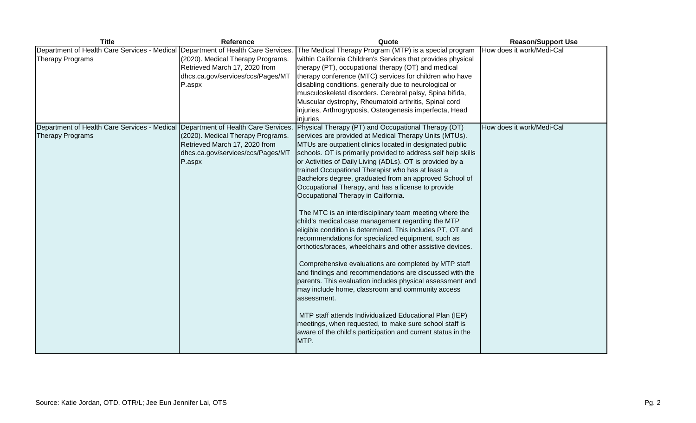| <b>Title</b>                                                                                                | <b>Reference</b>                                                                                                  | Quote                                                                                                                                                                                                                                                                                                                                                                                                                                                                                                                                                                                                                                                                                                                                                                                                                                                                                                                                                                                                                                                                                                                                                                                                         | <b>Reason/Support Use</b> |
|-------------------------------------------------------------------------------------------------------------|-------------------------------------------------------------------------------------------------------------------|---------------------------------------------------------------------------------------------------------------------------------------------------------------------------------------------------------------------------------------------------------------------------------------------------------------------------------------------------------------------------------------------------------------------------------------------------------------------------------------------------------------------------------------------------------------------------------------------------------------------------------------------------------------------------------------------------------------------------------------------------------------------------------------------------------------------------------------------------------------------------------------------------------------------------------------------------------------------------------------------------------------------------------------------------------------------------------------------------------------------------------------------------------------------------------------------------------------|---------------------------|
| Department of Health Care Services - Medical Department of Health Care Services.<br><b>Therapy Programs</b> | (2020). Medical Therapy Programs.<br>Retrieved March 17, 2020 from<br>dhcs.ca.gov/services/ccs/Pages/MT<br>P.aspx | The Medical Therapy Program (MTP) is a special program<br>within California Children's Services that provides physical<br>therapy (PT), occupational therapy (OT) and medical<br>therapy conference (MTC) services for children who have<br>disabling conditions, generally due to neurological or<br>musculoskeletal disorders. Cerebral palsy, Spina bifida,<br>Muscular dystrophy, Rheumatoid arthritis, Spinal cord<br>injuries, Arthrogryposis, Osteogenesis imperfecta, Head<br>injuries                                                                                                                                                                                                                                                                                                                                                                                                                                                                                                                                                                                                                                                                                                                | How does it work/Medi-Cal |
| Department of Health Care Services - Medical Department of Health Care Services.                            |                                                                                                                   | Physical Therapy (PT) and Occupational Therapy (OT)                                                                                                                                                                                                                                                                                                                                                                                                                                                                                                                                                                                                                                                                                                                                                                                                                                                                                                                                                                                                                                                                                                                                                           | How does it work/Medi-Cal |
| <b>Therapy Programs</b>                                                                                     | (2020). Medical Therapy Programs.<br>Retrieved March 17, 2020 from<br>dhcs.ca.gov/services/ccs/Pages/MT<br>P.aspx | services are provided at Medical Therapy Units (MTUs).<br>MTUs are outpatient clinics located in designated public<br>schools. OT is primarily provided to address self help skills<br>or Activities of Daily Living (ADLs). OT is provided by a<br>trained Occupational Therapist who has at least a<br>Bachelors degree, graduated from an approved School of<br>Occupational Therapy, and has a license to provide<br>Occupational Therapy in California.<br>The MTC is an interdisciplinary team meeting where the<br>child's medical case management regarding the MTP<br>eligible condition is determined. This includes PT, OT and<br>recommendations for specialized equipment, such as<br>orthotics/braces, wheelchairs and other assistive devices.<br>Comprehensive evaluations are completed by MTP staff<br>and findings and recommendations are discussed with the<br>parents. This evaluation includes physical assessment and<br>may include home, classroom and community access<br>assessment.<br>MTP staff attends Individualized Educational Plan (IEP)<br>meetings, when requested, to make sure school staff is<br>aware of the child's participation and current status in the<br>MTP. |                           |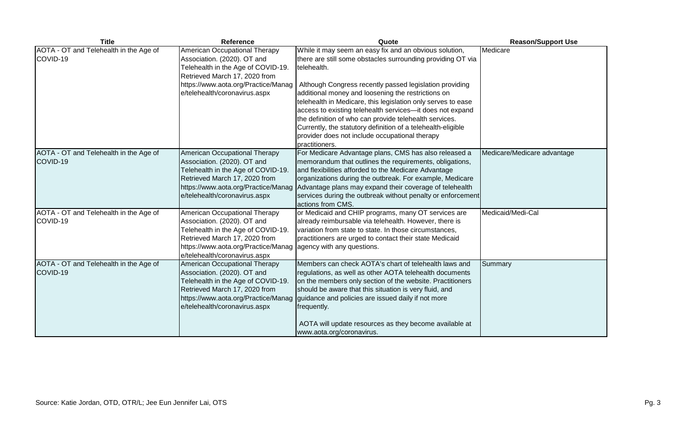| <b>Title</b>                                       | Reference                                                                                                                                                                                                   | Quote                                                                                                                                                                                                                                                                                                                                                                                                                                                                                                                                                                            | <b>Reason/Support Use</b>   |
|----------------------------------------------------|-------------------------------------------------------------------------------------------------------------------------------------------------------------------------------------------------------------|----------------------------------------------------------------------------------------------------------------------------------------------------------------------------------------------------------------------------------------------------------------------------------------------------------------------------------------------------------------------------------------------------------------------------------------------------------------------------------------------------------------------------------------------------------------------------------|-----------------------------|
| AOTA - OT and Telehealth in the Age of<br>COVID-19 | American Occupational Therapy<br>Association. (2020). OT and<br>Telehealth in the Age of COVID-19.<br>Retrieved March 17, 2020 from<br>https://www.aota.org/Practice/Manag<br>e/telehealth/coronavirus.aspx | While it may seem an easy fix and an obvious solution,<br>there are still some obstacles surrounding providing OT via<br>telehealth.<br>Although Congress recently passed legislation providing<br>additional money and loosening the restrictions on<br>telehealth in Medicare, this legislation only serves to ease<br>access to existing telehealth services-it does not expand<br>the definition of who can provide telehealth services.<br>Currently, the statutory definition of a telehealth-eligible<br>provider does not include occupational therapy<br>practitioners. | Medicare                    |
| AOTA - OT and Telehealth in the Age of<br>COVID-19 | American Occupational Therapy<br>Association. (2020). OT and<br>Telehealth in the Age of COVID-19.<br>Retrieved March 17, 2020 from<br>https://www.aota.org/Practice/Manag<br>e/telehealth/coronavirus.aspx | For Medicare Advantage plans, CMS has also released a<br>memorandum that outlines the requirements, obligations,<br>and flexibilities afforded to the Medicare Advantage<br>organizations during the outbreak. For example, Medicare<br>Advantage plans may expand their coverage of telehealth<br>services during the outbreak without penalty or enforcement<br>actions from CMS.                                                                                                                                                                                              | Medicare/Medicare advantage |
| AOTA - OT and Telehealth in the Age of<br>COVID-19 | American Occupational Therapy<br>Association. (2020). OT and<br>Telehealth in the Age of COVID-19.<br>Retrieved March 17, 2020 from<br>https://www.aota.org/Practice/Manag<br>e/telehealth/coronavirus.aspx | or Medicaid and CHIP programs, many OT services are<br>already reimbursable via telehealth. However, there is<br>variation from state to state. In those circumstances,<br>practitioners are urged to contact their state Medicaid<br>agency with any questions.                                                                                                                                                                                                                                                                                                                 | Medicaid/Medi-Cal           |
| AOTA - OT and Telehealth in the Age of<br>COVID-19 | American Occupational Therapy<br>Association. (2020). OT and<br>Telehealth in the Age of COVID-19.<br>Retrieved March 17, 2020 from<br>https://www.aota.org/Practice/Manag<br>e/telehealth/coronavirus.aspx | Members can check AOTA's chart of telehealth laws and<br>regulations, as well as other AOTA telehealth documents<br>on the members only section of the website. Practitioners<br>should be aware that this situation is very fluid, and<br>guidance and policies are issued daily if not more<br>frequently.<br>AOTA will update resources as they become available at<br>www.aota.org/coronavirus.                                                                                                                                                                              | Summary                     |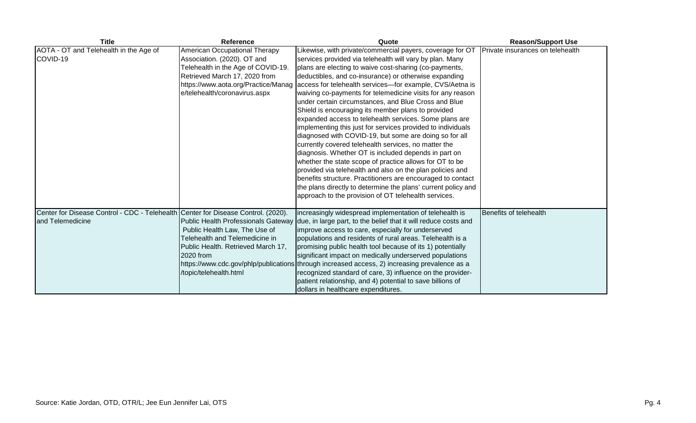| <b>Title</b>                                                                                          | Reference                                                                                                                                                                                                   | Quote                                                                                                                                                                                                                                                                                                                                                                                                                                                                                                                                                                                                                                                                                                                                                                                                                                                                                                                                                                                                                                                                                               | <b>Reason/Support Use</b>        |
|-------------------------------------------------------------------------------------------------------|-------------------------------------------------------------------------------------------------------------------------------------------------------------------------------------------------------------|-----------------------------------------------------------------------------------------------------------------------------------------------------------------------------------------------------------------------------------------------------------------------------------------------------------------------------------------------------------------------------------------------------------------------------------------------------------------------------------------------------------------------------------------------------------------------------------------------------------------------------------------------------------------------------------------------------------------------------------------------------------------------------------------------------------------------------------------------------------------------------------------------------------------------------------------------------------------------------------------------------------------------------------------------------------------------------------------------------|----------------------------------|
| AOTA - OT and Telehealth in the Age of<br>COVID-19                                                    | American Occupational Therapy<br>Association. (2020). OT and<br>Telehealth in the Age of COVID-19.<br>Retrieved March 17, 2020 from<br>https://www.aota.org/Practice/Manag<br>e/telehealth/coronavirus.aspx | Likewise, with private/commercial payers, coverage for OT<br>services provided via telehealth will vary by plan. Many<br>plans are electing to waive cost-sharing (co-payments,<br>deductibles, and co-insurance) or otherwise expanding<br>access for telehealth services-for example, CVS/Aetna is<br>waiving co-payments for telemedicine visits for any reason<br>under certain circumstances, and Blue Cross and Blue<br>Shield is encouraging its member plans to provided<br>expanded access to telehealth services. Some plans are<br>implementing this just for services provided to individuals<br>diagnosed with COVID-19, but some are doing so for all<br>currently covered telehealth services, no matter the<br>diagnosis. Whether OT is included depends in part on<br>whether the state scope of practice allows for OT to be<br>provided via telehealth and also on the plan policies and<br>benefits structure. Practitioners are encouraged to contact<br>the plans directly to determine the plans' current policy and<br>approach to the provision of OT telehealth services. | Private insurances on telehealth |
| Center for Disease Control - CDC - Telehealth Center for Disease Control. (2020).<br>and Telemedicine | Public Health Professionals Gateway<br>Public Health Law, The Use of<br>Telehealth and Telemedicine in<br>Public Health. Retrieved March 17,<br>2020 from<br>/topic/telehealth.html                         | increasingly widespread implementation of telehealth is<br>due, in large part, to the belief that it will reduce costs and<br>improve access to care, especially for underserved<br>populations and residents of rural areas. Telehealth is a<br>promising public health tool because of its 1) potentially<br>significant impact on medically underserved populations<br>https://www.cdc.gov/phlp/publications through increased access, 2) increasing prevalence as a<br>recognized standard of care, 3) influence on the provider-<br>patient relationship, and 4) potential to save billions of<br>dollars in healthcare expenditures.                                                                                                                                                                                                                                                                                                                                                                                                                                                          | Benefits of telehealth           |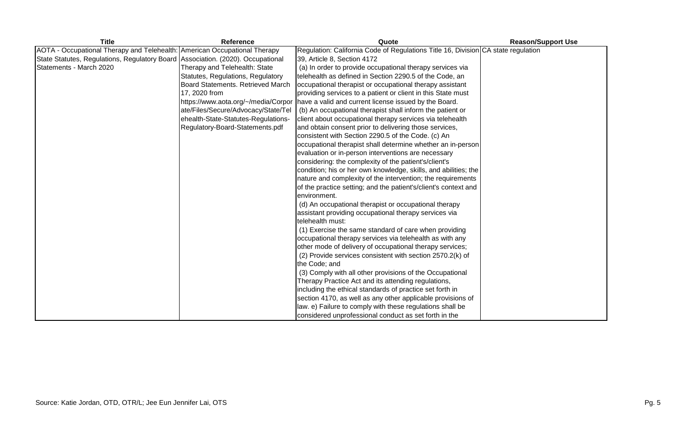| <b>Title</b>                                                                    | <b>Reference</b>                    | Quote                                                                             | <b>Reason/Support Use</b> |
|---------------------------------------------------------------------------------|-------------------------------------|-----------------------------------------------------------------------------------|---------------------------|
| AOTA - Occupational Therapy and Telehealth: American Occupational Therapy       |                                     | Regulation: California Code of Regulations Title 16, Division CA state regulation |                           |
| State Statutes, Regulations, Regulatory Board Association. (2020). Occupational |                                     | 39, Article 8, Section 4172                                                       |                           |
| Statements - March 2020                                                         | Therapy and Telehealth: State       | (a) In order to provide occupational therapy services via                         |                           |
|                                                                                 | Statutes, Regulations, Regulatory   | telehealth as defined in Section 2290.5 of the Code, an                           |                           |
|                                                                                 | Board Statements. Retrieved March   | occupational therapist or occupational therapy assistant                          |                           |
|                                                                                 | 17, 2020 from                       | providing services to a patient or client in this State must                      |                           |
|                                                                                 | https://www.aota.org/~/media/Corpor | have a valid and current license issued by the Board.                             |                           |
|                                                                                 | ate/Files/Secure/Advocacy/State/Tel | (b) An occupational therapist shall inform the patient or                         |                           |
|                                                                                 | ehealth-State-Statutes-Regulations- | client about occupational therapy services via telehealth                         |                           |
|                                                                                 | Regulatory-Board-Statements.pdf     | and obtain consent prior to delivering those services,                            |                           |
|                                                                                 |                                     | consistent with Section 2290.5 of the Code. (c) An                                |                           |
|                                                                                 |                                     | occupational therapist shall determine whether an in-person                       |                           |
|                                                                                 |                                     | evaluation or in-person interventions are necessary                               |                           |
|                                                                                 |                                     | considering: the complexity of the patient's/client's                             |                           |
|                                                                                 |                                     | condition; his or her own knowledge, skills, and abilities; the                   |                           |
|                                                                                 |                                     | nature and complexity of the intervention; the requirements                       |                           |
|                                                                                 |                                     | of the practice setting; and the patient's/client's context and                   |                           |
|                                                                                 |                                     | environment.                                                                      |                           |
|                                                                                 |                                     | (d) An occupational therapist or occupational therapy                             |                           |
|                                                                                 |                                     | assistant providing occupational therapy services via                             |                           |
|                                                                                 |                                     | telehealth must:                                                                  |                           |
|                                                                                 |                                     | (1) Exercise the same standard of care when providing                             |                           |
|                                                                                 |                                     | occupational therapy services via telehealth as with any                          |                           |
|                                                                                 |                                     | other mode of delivery of occupational therapy services;                          |                           |
|                                                                                 |                                     | (2) Provide services consistent with section 2570.2(k) of                         |                           |
|                                                                                 |                                     | the Code; and                                                                     |                           |
|                                                                                 |                                     | (3) Comply with all other provisions of the Occupational                          |                           |
|                                                                                 |                                     | Therapy Practice Act and its attending regulations,                               |                           |
|                                                                                 |                                     | including the ethical standards of practice set forth in                          |                           |
|                                                                                 |                                     | section 4170, as well as any other applicable provisions of                       |                           |
|                                                                                 |                                     | law. e) Failure to comply with these regulations shall be                         |                           |
|                                                                                 |                                     | considered unprofessional conduct as set forth in the                             |                           |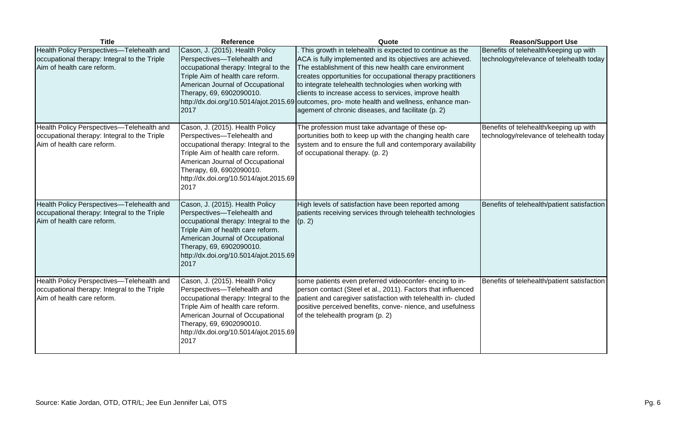| <b>Title</b>                                                                                                            | <b>Reference</b>                                                                                                                                                                                                                                               | Quote                                                                                                                                                                                                                                                                                                                                                                                                                                                                             | <b>Reason/Support Use</b>                                                          |
|-------------------------------------------------------------------------------------------------------------------------|----------------------------------------------------------------------------------------------------------------------------------------------------------------------------------------------------------------------------------------------------------------|-----------------------------------------------------------------------------------------------------------------------------------------------------------------------------------------------------------------------------------------------------------------------------------------------------------------------------------------------------------------------------------------------------------------------------------------------------------------------------------|------------------------------------------------------------------------------------|
| Health Policy Perspectives-Telehealth and<br>occupational therapy: Integral to the Triple<br>Aim of health care reform. | Cason, J. (2015). Health Policy<br>Perspectives-Telehealth and<br>occupational therapy: Integral to the<br>Triple Aim of health care reform.<br>American Journal of Occupational<br>Therapy, 69, 6902090010.<br>http://dx.doi.org/10.5014/ajot.2015.69<br>2017 | This growth in telehealth is expected to continue as the<br>ACA is fully implemented and its objectives are achieved.<br>The establishment of this new health care environment<br>creates opportunities for occupational therapy practitioners<br>to integrate telehealth technologies when working with<br>clients to increase access to services, improve health<br>outcomes, pro- mote health and wellness, enhance man-<br>agement of chronic diseases, and facilitate (p. 2) | Benefits of telehealth/keeping up with<br>technology/relevance of telehealth today |
| Health Policy Perspectives-Telehealth and<br>occupational therapy: Integral to the Triple<br>Aim of health care reform. | Cason, J. (2015). Health Policy<br>Perspectives-Telehealth and<br>occupational therapy: Integral to the<br>Triple Aim of health care reform.<br>American Journal of Occupational<br>Therapy, 69, 6902090010.<br>http://dx.doi.org/10.5014/ajot.2015.69<br>2017 | The profession must take advantage of these op-<br>portunities both to keep up with the changing health care<br>system and to ensure the full and contemporary availability<br>of occupational therapy. (p. 2)                                                                                                                                                                                                                                                                    | Benefits of telehealth/keeping up with<br>technology/relevance of telehealth today |
| Health Policy Perspectives-Telehealth and<br>occupational therapy: Integral to the Triple<br>Aim of health care reform. | Cason, J. (2015). Health Policy<br>Perspectives-Telehealth and<br>occupational therapy: Integral to the<br>Triple Aim of health care reform.<br>American Journal of Occupational<br>Therapy, 69, 6902090010.<br>http://dx.doi.org/10.5014/ajot.2015.69<br>2017 | High levels of satisfaction have been reported among<br>patients receiving services through telehealth technologies<br>(p. 2)                                                                                                                                                                                                                                                                                                                                                     | Benefits of telehealth/patient satisfaction                                        |
| Health Policy Perspectives-Telehealth and<br>occupational therapy: Integral to the Triple<br>Aim of health care reform. | Cason, J. (2015). Health Policy<br>Perspectives-Telehealth and<br>occupational therapy: Integral to the<br>Triple Aim of health care reform.<br>American Journal of Occupational<br>Therapy, 69, 6902090010.<br>http://dx.doi.org/10.5014/ajot.2015.69<br>2017 | some patients even preferred videoconfer-encing to in-<br>person contact (Steel et al., 2011). Factors that influenced<br>patient and caregiver satisfaction with telehealth in- cluded<br>positive perceived benefits, conve- nience, and usefulness<br>of the telehealth program (p. 2)                                                                                                                                                                                         | Benefits of telehealth/patient satisfaction                                        |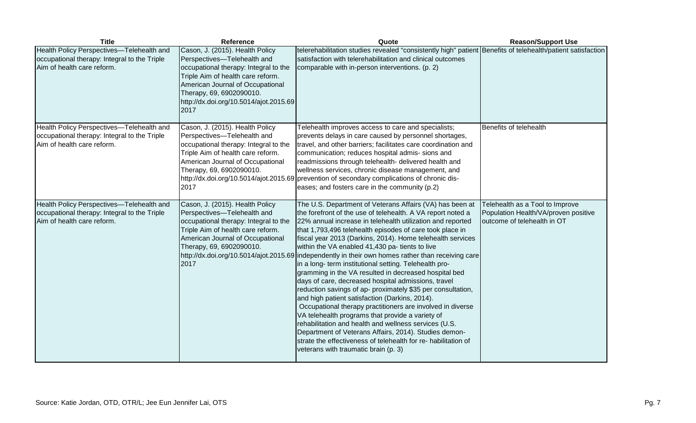| <b>Title</b>                                                                                                            | <b>Reference</b>                                                                                                                                                                                                                                               | Quote                                                                                                                                                                                                                                                                                                                                                                                                                                                                                                                                                                                                                                                                                                                                                                                                                                                                                                                                                                                                                                                                      | <b>Reason/Support Use</b>                                                                              |
|-------------------------------------------------------------------------------------------------------------------------|----------------------------------------------------------------------------------------------------------------------------------------------------------------------------------------------------------------------------------------------------------------|----------------------------------------------------------------------------------------------------------------------------------------------------------------------------------------------------------------------------------------------------------------------------------------------------------------------------------------------------------------------------------------------------------------------------------------------------------------------------------------------------------------------------------------------------------------------------------------------------------------------------------------------------------------------------------------------------------------------------------------------------------------------------------------------------------------------------------------------------------------------------------------------------------------------------------------------------------------------------------------------------------------------------------------------------------------------------|--------------------------------------------------------------------------------------------------------|
| Health Policy Perspectives-Telehealth and<br>occupational therapy: Integral to the Triple<br>Aim of health care reform. | Cason, J. (2015). Health Policy<br>Perspectives-Telehealth and<br>occupational therapy: Integral to the<br>Triple Aim of health care reform.<br>American Journal of Occupational<br>Therapy, 69, 6902090010.<br>http://dx.doi.org/10.5014/ajot.2015.69<br>2017 | telerehabilitation studies revealed "consistently high" patient Benefits of telehealth/patient satisfaction<br>satisfaction with telerehabilitation and clinical outcomes<br>comparable with in-person interventions. (p. 2)                                                                                                                                                                                                                                                                                                                                                                                                                                                                                                                                                                                                                                                                                                                                                                                                                                               |                                                                                                        |
| Health Policy Perspectives-Telehealth and<br>occupational therapy: Integral to the Triple<br>Aim of health care reform. | Cason, J. (2015). Health Policy<br>Perspectives-Telehealth and<br>occupational therapy: Integral to the<br>Triple Aim of health care reform.<br>American Journal of Occupational<br>Therapy, 69, 6902090010.<br>2017                                           | Telehealth improves access to care and specialists;<br>prevents delays in care caused by personnel shortages,<br>travel, and other barriers; facilitates care coordination and<br>communication; reduces hospital admis- sions and<br>readmissions through telehealth- delivered health and<br>wellness services, chronic disease management, and<br>http://dx.doi.org/10.5014/ajot.2015.69 prevention of secondary complications of chronic dis-<br>eases; and fosters care in the community (p.2)                                                                                                                                                                                                                                                                                                                                                                                                                                                                                                                                                                        | Benefits of telehealth                                                                                 |
| Health Policy Perspectives-Telehealth and<br>occupational therapy: Integral to the Triple<br>Aim of health care reform. | Cason, J. (2015). Health Policy<br>Perspectives-Telehealth and<br>occupational therapy: Integral to the<br>Triple Aim of health care reform.<br>American Journal of Occupational<br>Therapy, 69, 6902090010.<br>http://dx.doi.org/10.5014/ajot.2015.69<br>2017 | The U.S. Department of Veterans Affairs (VA) has been at<br>the forefront of the use of telehealth. A VA report noted a<br>22% annual increase in telehealth utilization and reported<br>that 1,793,496 telehealth episodes of care took place in<br>fiscal year 2013 (Darkins, 2014). Home telehealth services<br>within the VA enabled 41,430 pa- tients to live<br>independently in their own homes rather than receiving care<br>in a long- term institutional setting. Telehealth pro-<br>gramming in the VA resulted in decreased hospital bed<br>days of care, decreased hospital admissions, travel<br>reduction savings of ap- proximately \$35 per consultation,<br>and high patient satisfaction (Darkins, 2014).<br>Occupational therapy practitioners are involved in diverse<br>VA telehealth programs that provide a variety of<br>rehabilitation and health and wellness services (U.S.<br>Department of Veterans Affairs, 2014). Studies demon-<br>strate the effectiveness of telehealth for re- habilitation of<br>veterans with traumatic brain (p. 3) | Telehealth as a Tool to Improve<br>Population Health/VA/proven positive<br>outcome of telehealth in OT |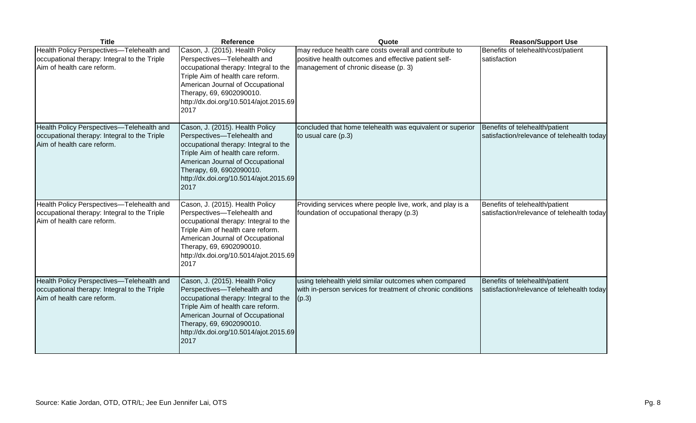| <b>Title</b>                                                                                                            | <b>Reference</b>                                                                                                                                                                                                                                               | Quote                                                                                                                                                  | <b>Reason/Support Use</b>                                                    |
|-------------------------------------------------------------------------------------------------------------------------|----------------------------------------------------------------------------------------------------------------------------------------------------------------------------------------------------------------------------------------------------------------|--------------------------------------------------------------------------------------------------------------------------------------------------------|------------------------------------------------------------------------------|
| Health Policy Perspectives-Telehealth and<br>occupational therapy: Integral to the Triple<br>Aim of health care reform. | Cason, J. (2015). Health Policy<br>Perspectives-Telehealth and<br>occupational therapy: Integral to the<br>Triple Aim of health care reform.<br>American Journal of Occupational<br>Therapy, 69, 6902090010.<br>http://dx.doi.org/10.5014/ajot.2015.69<br>2017 | may reduce health care costs overall and contribute to<br>positive health outcomes and effective patient self-<br>management of chronic disease (p. 3) | Benefits of telehealth/cost/patient<br>satisfaction                          |
| Health Policy Perspectives-Telehealth and<br>occupational therapy: Integral to the Triple<br>Aim of health care reform. | Cason, J. (2015). Health Policy<br>Perspectives-Telehealth and<br>occupational therapy: Integral to the<br>Triple Aim of health care reform.<br>American Journal of Occupational<br>Therapy, 69, 6902090010.<br>http://dx.doi.org/10.5014/ajot.2015.69<br>2017 | concluded that home telehealth was equivalent or superior<br>to usual care (p.3)                                                                       | Benefits of telehealth/patient<br>satisfaction/relevance of telehealth today |
| Health Policy Perspectives-Telehealth and<br>occupational therapy: Integral to the Triple<br>Aim of health care reform. | Cason, J. (2015). Health Policy<br>Perspectives-Telehealth and<br>occupational therapy: Integral to the<br>Triple Aim of health care reform.<br>American Journal of Occupational<br>Therapy, 69, 6902090010.<br>http://dx.doi.org/10.5014/ajot.2015.69<br>2017 | Providing services where people live, work, and play is a<br>foundation of occupational therapy (p.3)                                                  | Benefits of telehealth/patient<br>satisfaction/relevance of telehealth today |
| Health Policy Perspectives-Telehealth and<br>occupational therapy: Integral to the Triple<br>Aim of health care reform. | Cason, J. (2015). Health Policy<br>Perspectives-Telehealth and<br>occupational therapy: Integral to the<br>Triple Aim of health care reform.<br>American Journal of Occupational<br>Therapy, 69, 6902090010.<br>http://dx.doi.org/10.5014/ajot.2015.69<br>2017 | using telehealth yield similar outcomes when compared<br>with in-person services for treatment of chronic conditions<br>(p.3)                          | Benefits of telehealth/patient<br>satisfaction/relevance of telehealth today |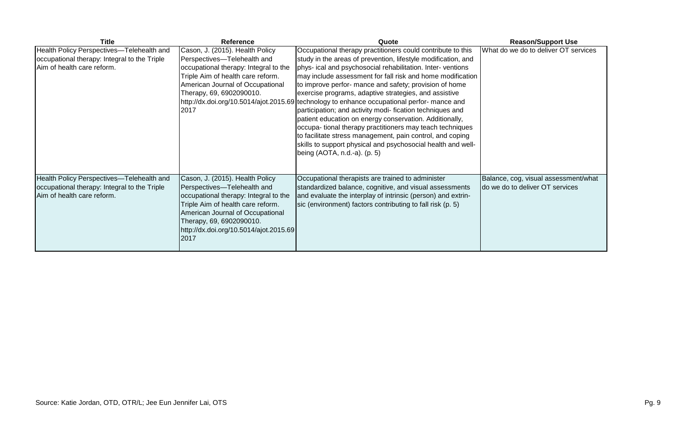| <b>Title</b>                                                                                                            | Reference                                                                                                                                                                                                                                                      | Quote                                                                                                                                                                                                                                                                                                                                                                                                                                                                                                                                                                                                                                                                                                                                                                                                                        | <b>Reason/Support Use</b>                                               |
|-------------------------------------------------------------------------------------------------------------------------|----------------------------------------------------------------------------------------------------------------------------------------------------------------------------------------------------------------------------------------------------------------|------------------------------------------------------------------------------------------------------------------------------------------------------------------------------------------------------------------------------------------------------------------------------------------------------------------------------------------------------------------------------------------------------------------------------------------------------------------------------------------------------------------------------------------------------------------------------------------------------------------------------------------------------------------------------------------------------------------------------------------------------------------------------------------------------------------------------|-------------------------------------------------------------------------|
| Health Policy Perspectives-Telehealth and<br>occupational therapy: Integral to the Triple<br>Aim of health care reform. | Cason, J. (2015). Health Policy<br>Perspectives-Telehealth and<br>occupational therapy: Integral to the<br>Triple Aim of health care reform.<br>American Journal of Occupational<br>Therapy, 69, 6902090010.<br>2017                                           | Occupational therapy practitioners could contribute to this<br>study in the areas of prevention, lifestyle modification, and<br>phys- ical and psychosocial rehabilitation. Inter-ventions<br>may include assessment for fall risk and home modification<br>to improve perfor- mance and safety; provision of home<br>exercise programs, adaptive strategies, and assistive<br>http://dx.doi.org/10.5014/ajot.2015.69 technology to enhance occupational perfor- mance and<br>participation; and activity modi- fication techniques and<br>patient education on energy conservation. Additionally,<br>occupa- tional therapy practitioners may teach techniques<br>to facilitate stress management, pain control, and coping<br>skills to support physical and psychosocial health and well-<br>being (AOTA, n.d.-a). (p. 5) | What do we do to deliver OT services                                    |
| Health Policy Perspectives-Telehealth and<br>occupational therapy: Integral to the Triple<br>Aim of health care reform. | Cason, J. (2015). Health Policy<br>Perspectives-Telehealth and<br>occupational therapy: Integral to the<br>Triple Aim of health care reform.<br>American Journal of Occupational<br>Therapy, 69, 6902090010.<br>http://dx.doi.org/10.5014/ajot.2015.69<br>2017 | Occupational therapists are trained to administer<br>standardized balance, cognitive, and visual assessments<br>and evaluate the interplay of intrinsic (person) and extrin-<br>sic (environment) factors contributing to fall risk (p. 5)                                                                                                                                                                                                                                                                                                                                                                                                                                                                                                                                                                                   | Balance, cog, visual assessment/what<br>do we do to deliver OT services |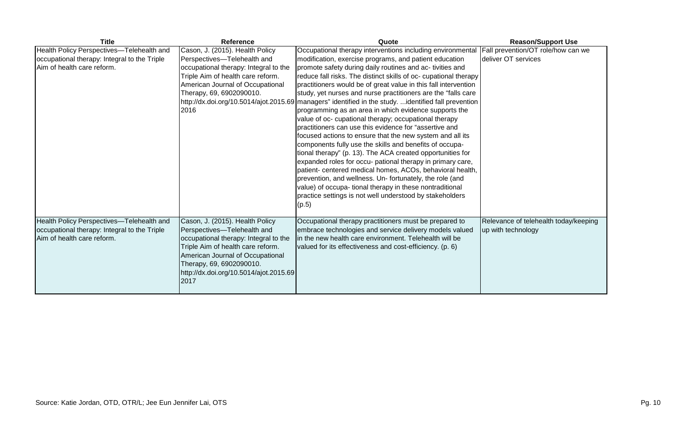| <b>Title</b>                                 | <b>Reference</b>                       | Quote                                                                                                  | <b>Reason/Support Use</b>             |
|----------------------------------------------|----------------------------------------|--------------------------------------------------------------------------------------------------------|---------------------------------------|
| Health Policy Perspectives-Telehealth and    | Cason, J. (2015). Health Policy        | Occupational therapy interventions including environmental                                             | Fall prevention/OT role/how can we    |
| occupational therapy: Integral to the Triple | Perspectives-Telehealth and            | modification, exercise programs, and patient education                                                 | deliver OT services                   |
| Aim of health care reform.                   | occupational therapy: Integral to the  | promote safety during daily routines and ac- tivities and                                              |                                       |
|                                              | Triple Aim of health care reform.      | reduce fall risks. The distinct skills of oc- cupational therapy                                       |                                       |
|                                              | American Journal of Occupational       | practitioners would be of great value in this fall intervention                                        |                                       |
|                                              | Therapy, 69, 6902090010.               | study, yet nurses and nurse practitioners are the "falls care"                                         |                                       |
|                                              |                                        | http://dx.doi.org/10.5014/ajot.2015.69   managers" identified in the study. identified fall prevention |                                       |
|                                              | 2016                                   | programming as an area in which evidence supports the                                                  |                                       |
|                                              |                                        | value of oc- cupational therapy; occupational therapy                                                  |                                       |
|                                              |                                        | Ipractitioners can use this evidence for "assertive and                                                |                                       |
|                                              |                                        | focused actions to ensure that the new system and all its                                              |                                       |
|                                              |                                        | components fully use the skills and benefits of occupa-                                                |                                       |
|                                              |                                        | tional therapy" (p. 13). The ACA created opportunities for                                             |                                       |
|                                              |                                        | expanded roles for occu- pational therapy in primary care,                                             |                                       |
|                                              |                                        | patient- centered medical homes, ACOs, behavioral health,                                              |                                       |
|                                              |                                        | prevention, and wellness. Un- fortunately, the role (and                                               |                                       |
|                                              |                                        | value) of occupa- tional therapy in these nontraditional                                               |                                       |
|                                              |                                        | practice settings is not well understood by stakeholders                                               |                                       |
|                                              |                                        | (p.5)                                                                                                  |                                       |
| Health Policy Perspectives-Telehealth and    | Cason, J. (2015). Health Policy        | Occupational therapy practitioners must be prepared to                                                 | Relevance of telehealth today/keeping |
| occupational therapy: Integral to the Triple | Perspectives-Telehealth and            | embrace technologies and service delivery models valued                                                | up with technology                    |
| Aim of health care reform.                   | occupational therapy: Integral to the  | in the new health care environment. Telehealth will be                                                 |                                       |
|                                              | Triple Aim of health care reform.      | valued for its effectiveness and cost-efficiency. (p. 6)                                               |                                       |
|                                              | American Journal of Occupational       |                                                                                                        |                                       |
|                                              | Therapy, 69, 6902090010.               |                                                                                                        |                                       |
|                                              | http://dx.doi.org/10.5014/ajot.2015.69 |                                                                                                        |                                       |
|                                              | 2017                                   |                                                                                                        |                                       |
|                                              |                                        |                                                                                                        |                                       |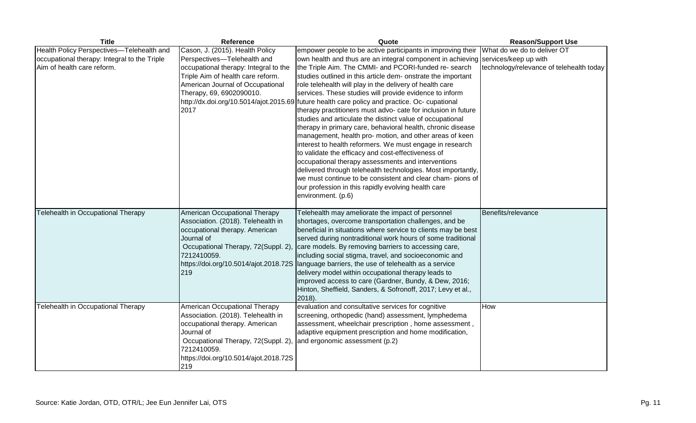| <b>Title</b>                                                                              | Reference                                                                                                                                                                                                                 | Quote                                                                                                                                                                                                                                                                                                                                                                                                                                                                                                                                                                                                                                                                                                                                                                                                                                                                                                                                                                                    | <b>Reason/Support Use</b>                            |
|-------------------------------------------------------------------------------------------|---------------------------------------------------------------------------------------------------------------------------------------------------------------------------------------------------------------------------|------------------------------------------------------------------------------------------------------------------------------------------------------------------------------------------------------------------------------------------------------------------------------------------------------------------------------------------------------------------------------------------------------------------------------------------------------------------------------------------------------------------------------------------------------------------------------------------------------------------------------------------------------------------------------------------------------------------------------------------------------------------------------------------------------------------------------------------------------------------------------------------------------------------------------------------------------------------------------------------|------------------------------------------------------|
| Health Policy Perspectives-Telehealth and<br>occupational therapy: Integral to the Triple | Cason, J. (2015). Health Policy<br>Perspectives-Telehealth and                                                                                                                                                            | empower people to be active participants in improving their<br>own health and thus are an integral component in achieving                                                                                                                                                                                                                                                                                                                                                                                                                                                                                                                                                                                                                                                                                                                                                                                                                                                                | What do we do to deliver OT<br>services/keep up with |
| Aim of health care reform.                                                                | occupational therapy: Integral to the<br>Triple Aim of health care reform.<br>American Journal of Occupational<br>Therapy, 69, 6902090010.<br>2017                                                                        | the Triple Aim. The CMMI- and PCORI-funded re- search<br>studies outlined in this article dem- onstrate the important<br>role telehealth will play in the delivery of health care<br>services. These studies will provide evidence to inform<br>http://dx.doi.org/10.5014/ajot.2015.69 future health care policy and practice. Oc- cupational<br>therapy practitioners must advo- cate for inclusion in future<br>studies and articulate the distinct value of occupational<br>therapy in primary care, behavioral health, chronic disease<br>management, health pro- motion, and other areas of keen<br>interest to health reformers. We must engage in research<br>to validate the efficacy and cost-effectiveness of<br>occupational therapy assessments and interventions<br>delivered through telehealth technologies. Most importantly,<br>we must continue to be consistent and clear cham- pions of<br>our profession in this rapidly evolving health care<br>environment. (p.6) | technology/relevance of telehealth today             |
| Telehealth in Occupational Therapy                                                        | American Occupational Therapy<br>Association. (2018). Telehealth in<br>occupational therapy. American<br>Journal of<br>Occupational Therapy, 72(Suppl. 2),<br>7212410059.<br>https://doi.org/10.5014/ajot.2018.72S<br>219 | Telehealth may ameliorate the impact of personnel<br>shortages, overcome transportation challenges, and be<br>beneficial in situations where service to clients may be best<br>served during nontraditional work hours of some traditional<br>care models. By removing barriers to accessing care,<br>including social stigma, travel, and socioeconomic and<br>language barriers, the use of telehealth as a service<br>delivery model within occupational therapy leads to<br>improved access to care (Gardner, Bundy, & Dew, 2016;<br>Hinton, Sheffield, Sanders, & Sofronoff, 2017; Levy et al.,<br>2018).                                                                                                                                                                                                                                                                                                                                                                           | Benefits/relevance                                   |
| Telehealth in Occupational Therapy                                                        | American Occupational Therapy<br>Association. (2018). Telehealth in<br>occupational therapy. American<br>Journal of<br>Occupational Therapy, 72(Suppl. 2),<br>7212410059.<br>https://doi.org/10.5014/ajot.2018.72S<br>219 | evaluation and consultative services for cognitive<br>screening, orthopedic (hand) assessment, lymphedema<br>assessment, wheelchair prescription, home assessment,<br>adaptive equipment prescription and home modification,<br>and ergonomic assessment (p.2)                                                                                                                                                                                                                                                                                                                                                                                                                                                                                                                                                                                                                                                                                                                           | How                                                  |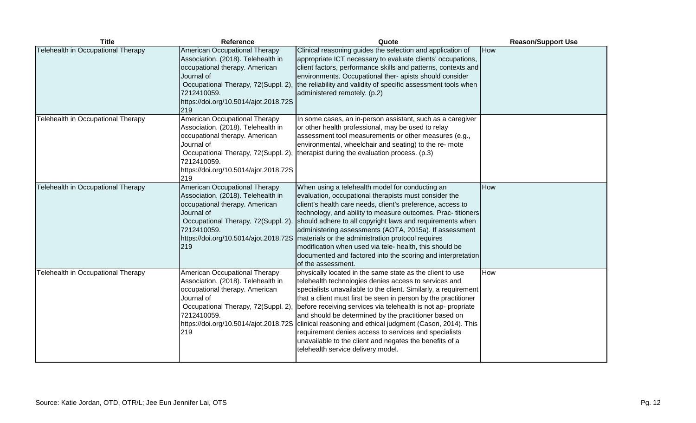| <b>Title</b>                       | Reference                                                                                                                                                                                                                 | Quote                                                                                                                                                                                                                                                                                                                                                                                                                                                                                                                                                                                                                                            | <b>Reason/Support Use</b> |
|------------------------------------|---------------------------------------------------------------------------------------------------------------------------------------------------------------------------------------------------------------------------|--------------------------------------------------------------------------------------------------------------------------------------------------------------------------------------------------------------------------------------------------------------------------------------------------------------------------------------------------------------------------------------------------------------------------------------------------------------------------------------------------------------------------------------------------------------------------------------------------------------------------------------------------|---------------------------|
| Telehealth in Occupational Therapy | American Occupational Therapy<br>Association. (2018). Telehealth in<br>occupational therapy. American<br>Journal of<br>Occupational Therapy, 72(Suppl. 2),<br>7212410059.<br>https://doi.org/10.5014/ajot.2018.72S<br>219 | Clinical reasoning guides the selection and application of<br>appropriate ICT necessary to evaluate clients' occupations,<br>client factors, performance skills and patterns, contexts and<br>environments. Occupational ther- apists should consider<br>the reliability and validity of specific assessment tools when<br>administered remotely. (p.2)                                                                                                                                                                                                                                                                                          | How                       |
| Telehealth in Occupational Therapy | American Occupational Therapy<br>Association. (2018). Telehealth in<br>occupational therapy. American<br>Journal of<br>Occupational Therapy, 72(Suppl. 2),<br>7212410059.<br>https://doi.org/10.5014/ajot.2018.72S<br>219 | In some cases, an in-person assistant, such as a caregiver<br>or other health professional, may be used to relay<br>assessment tool measurements or other measures (e.g.,<br>environmental, wheelchair and seating) to the re- mote<br>therapist during the evaluation process. (p.3)                                                                                                                                                                                                                                                                                                                                                            |                           |
| Telehealth in Occupational Therapy | American Occupational Therapy<br>Association. (2018). Telehealth in<br>occupational therapy. American<br>Journal of<br>Occupational Therapy, 72(Suppl. 2),<br>7212410059.<br>https://doi.org/10.5014/ajot.2018.72S<br>219 | When using a telehealth model for conducting an<br>evaluation, occupational therapists must consider the<br>client's health care needs, client's preference, access to<br>technology, and ability to measure outcomes. Prac-titioners<br>should adhere to all copyright laws and requirements when<br>administering assessments (AOTA, 2015a). If assessment<br>materials or the administration protocol requires<br>modification when used via tele- health, this should be<br>documented and factored into the scoring and interpretation<br>of the assessment.                                                                                | How                       |
| Telehealth in Occupational Therapy | American Occupational Therapy<br>Association. (2018). Telehealth in<br>occupational therapy. American<br>Journal of<br>Occupational Therapy, 72(Suppl. 2),<br>7212410059.<br>219                                          | physically located in the same state as the client to use<br>telehealth technologies denies access to services and<br>specialists unavailable to the client. Similarly, a requirement<br>that a client must first be seen in person by the practitioner<br>before receiving services via telehealth is not ap- propriate<br>and should be determined by the practitioner based on<br>https://doi.org/10.5014/ajot.2018.72S clinical reasoning and ethical judgment (Cason, 2014). This<br>requirement denies access to services and specialists<br>unavailable to the client and negates the benefits of a<br>telehealth service delivery model. | How                       |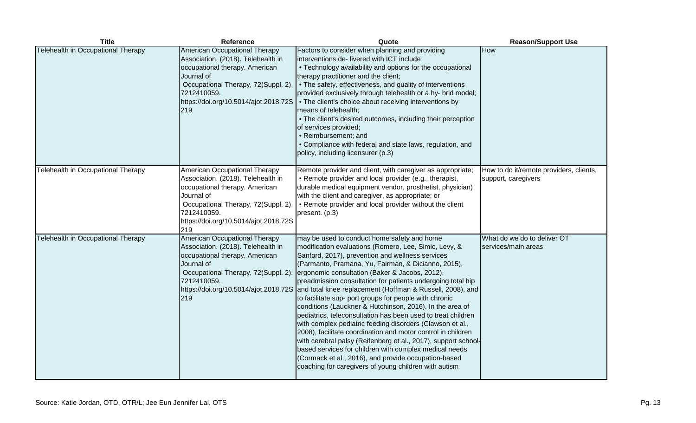| <b>Title</b>                       | Reference                                                                                                                                                                                                                 | Quote                                                                                                                                                                                                                                                                                                                                                                                                                                                                                                                                                                                                                                                                                                                                                                                                                                                                                                                                                         | <b>Reason/Support Use</b>                                      |
|------------------------------------|---------------------------------------------------------------------------------------------------------------------------------------------------------------------------------------------------------------------------|---------------------------------------------------------------------------------------------------------------------------------------------------------------------------------------------------------------------------------------------------------------------------------------------------------------------------------------------------------------------------------------------------------------------------------------------------------------------------------------------------------------------------------------------------------------------------------------------------------------------------------------------------------------------------------------------------------------------------------------------------------------------------------------------------------------------------------------------------------------------------------------------------------------------------------------------------------------|----------------------------------------------------------------|
| Telehealth in Occupational Therapy | American Occupational Therapy<br>Association. (2018). Telehealth in<br>occupational therapy. American<br>Journal of<br>Occupational Therapy, 72(Suppl. 2),<br>7212410059.<br>https://doi.org/10.5014/ajot.2018.72S<br>219 | Factors to consider when planning and providing<br>interventions de- livered with ICT include<br>• Technology availability and options for the occupational<br>therapy practitioner and the client;<br>• The safety, effectiveness, and quality of interventions<br>provided exclusively through telehealth or a hy- brid model;<br>• The client's choice about receiving interventions by<br>means of telehealth;<br>• The client's desired outcomes, including their perception<br>of services provided;<br>• Reimbursement; and<br>• Compliance with federal and state laws, regulation, and<br>policy, including licensurer (p.3)                                                                                                                                                                                                                                                                                                                         | How                                                            |
| Telehealth in Occupational Therapy | American Occupational Therapy<br>Association. (2018). Telehealth in<br>occupational therapy. American<br>Journal of<br>Occupational Therapy, 72(Suppl. 2),<br>7212410059.<br>https://doi.org/10.5014/ajot.2018.72S<br>219 | Remote provider and client, with caregiver as appropriate;<br>• Remote provider and local provider (e.g., therapist,<br>durable medical equipment vendor, prosthetist, physician)<br>with the client and caregiver, as appropriate; or<br>• Remote provider and local provider without the client<br>present. (p.3)                                                                                                                                                                                                                                                                                                                                                                                                                                                                                                                                                                                                                                           | How to do it/remote providers, clients,<br>support, caregivers |
| Telehealth in Occupational Therapy | American Occupational Therapy<br>Association. (2018). Telehealth in<br>occupational therapy. American<br>Journal of<br>Occupational Therapy, 72(Suppl. 2),<br>7212410059.<br>https://doi.org/10.5014/ajot.2018.72S<br>219 | may be used to conduct home safety and home<br>modification evaluations (Romero, Lee, Simic, Levy, &<br>Sanford, 2017), prevention and wellness services<br>(Parmanto, Pramana, Yu, Fairman, & Dicianno, 2015),<br>ergonomic consultation (Baker & Jacobs, 2012),<br>preadmission consultation for patients undergoing total hip<br>and total knee replacement (Hoffman & Russell, 2008), and<br>to facilitate sup- port groups for people with chronic<br>conditions (Lauckner & Hutchinson, 2016). In the area of<br>pediatrics, teleconsultation has been used to treat children<br>with complex pediatric feeding disorders (Clawson et al.,<br>2008), facilitate coordination and motor control in children<br>with cerebral palsy (Reifenberg et al., 2017), support school-<br>based services for children with complex medical needs<br>(Cormack et al., 2016), and provide occupation-based<br>coaching for caregivers of young children with autism | What do we do to deliver OT<br>services/main areas             |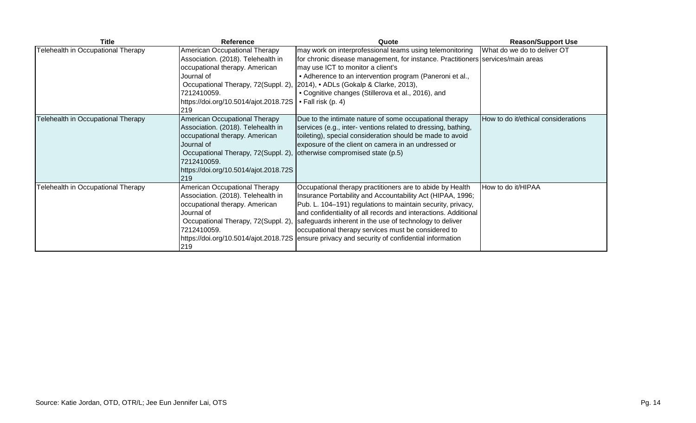| <b>Title</b>                       | <b>Reference</b>                                                                                                                                                                                                          | Quote                                                                                                                                                                                                                                                                                                                                                                                                                                                                        | <b>Reason/Support Use</b>           |
|------------------------------------|---------------------------------------------------------------------------------------------------------------------------------------------------------------------------------------------------------------------------|------------------------------------------------------------------------------------------------------------------------------------------------------------------------------------------------------------------------------------------------------------------------------------------------------------------------------------------------------------------------------------------------------------------------------------------------------------------------------|-------------------------------------|
| Telehealth in Occupational Therapy | American Occupational Therapy<br>Association. (2018). Telehealth in<br>occupational therapy. American<br>Journal of<br>Occupational Therapy, 72(Suppl. 2),<br>7212410059.<br>https://doi.org/10.5014/ajot.2018.72S<br>219 | may work on interprofessional teams using telemonitoring<br>for chronic disease management, for instance. Practitioners services/main areas<br>may use ICT to monitor a client's<br>• Adherence to an intervention program (Paneroni et al.,<br>2014), • ADLs (Gokalp & Clarke, 2013),<br>• Cognitive changes (Stillerova et al., 2016), and<br>$\bullet$ Fall risk (p. 4)                                                                                                   | What do we do to deliver OT         |
| Telehealth in Occupational Therapy | American Occupational Therapy<br>Association. (2018). Telehealth in<br>occupational therapy. American<br>Journal of<br>Occupational Therapy, 72(Suppl. 2),<br>7212410059.<br>https://doi.org/10.5014/ajot.2018.72S<br>219 | Due to the intimate nature of some occupational therapy<br>services (e.g., inter-ventions related to dressing, bathing,<br>toileting), special consideration should be made to avoid<br>exposure of the client on camera in an undressed or<br>otherwise compromised state (p.5)                                                                                                                                                                                             | How to do it/ethical considerations |
| Telehealth in Occupational Therapy | American Occupational Therapy<br>Association. (2018). Telehealth in<br>occupational therapy. American<br>Journal of<br>Occupational Therapy, 72(Suppl. 2),<br>7212410059.<br>219                                          | Occupational therapy practitioners are to abide by Health<br>Insurance Portability and Accountability Act (HIPAA, 1996;<br>Pub. L. 104–191) regulations to maintain security, privacy,<br>and confidentiality of all records and interactions. Additional<br>safeguards inherent in the use of technology to deliver<br>occupational therapy services must be considered to<br>https://doi.org/10.5014/ajot.2018.72S ensure privacy and security of confidential information | How to do it/HIPAA                  |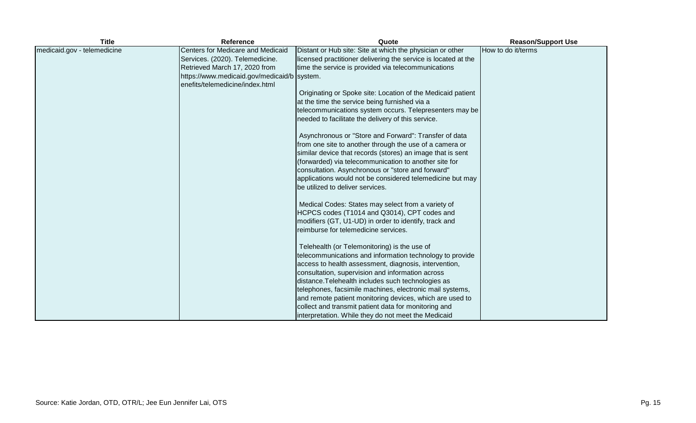| <b>Title</b>                | <b>Reference</b>                    | Quote                                                          | <b>Reason/Support Use</b> |
|-----------------------------|-------------------------------------|----------------------------------------------------------------|---------------------------|
| medicaid.gov - telemedicine | Centers for Medicare and Medicaid   | Distant or Hub site: Site at which the physician or other      | How to do it/terms        |
|                             | Services. (2020). Telemedicine.     | licensed practitioner delivering the service is located at the |                           |
|                             | Retrieved March 17, 2020 from       | time the service is provided via telecommunications            |                           |
|                             | https://www.medicaid.gov/medicaid/b | system.                                                        |                           |
|                             | enefits/telemedicine/index.html     |                                                                |                           |
|                             |                                     | Originating or Spoke site: Location of the Medicaid patient    |                           |
|                             |                                     | at the time the service being furnished via a                  |                           |
|                             |                                     | telecommunications system occurs. Telepresenters may be        |                           |
|                             |                                     | needed to facilitate the delivery of this service.             |                           |
|                             |                                     | Asynchronous or "Store and Forward": Transfer of data          |                           |
|                             |                                     | from one site to another through the use of a camera or        |                           |
|                             |                                     | similar device that records (stores) an image that is sent     |                           |
|                             |                                     | (forwarded) via telecommunication to another site for          |                           |
|                             |                                     | consultation. Asynchronous or "store and forward"              |                           |
|                             |                                     | applications would not be considered telemedicine but may      |                           |
|                             |                                     | be utilized to deliver services.                               |                           |
|                             |                                     | Medical Codes: States may select from a variety of             |                           |
|                             |                                     | HCPCS codes (T1014 and Q3014), CPT codes and                   |                           |
|                             |                                     | modifiers (GT, U1-UD) in order to identify, track and          |                           |
|                             |                                     | reimburse for telemedicine services.                           |                           |
|                             |                                     | Telehealth (or Telemonitoring) is the use of                   |                           |
|                             |                                     | telecommunications and information technology to provide       |                           |
|                             |                                     | access to health assessment, diagnosis, intervention,          |                           |
|                             |                                     | consultation, supervision and information across               |                           |
|                             |                                     | distance. Telehealth includes such technologies as             |                           |
|                             |                                     | telephones, facsimile machines, electronic mail systems,       |                           |
|                             |                                     | and remote patient monitoring devices, which are used to       |                           |
|                             |                                     | collect and transmit patient data for monitoring and           |                           |
|                             |                                     | interpretation. While they do not meet the Medicaid            |                           |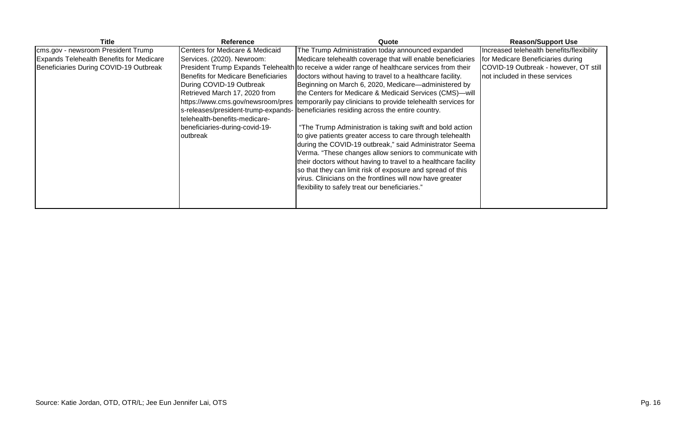| Title                                           | Reference                                  | Quote                                                                                            | <b>Reason/Support Use</b>                 |
|-------------------------------------------------|--------------------------------------------|--------------------------------------------------------------------------------------------------|-------------------------------------------|
| cms.gov - newsroom President Trump              | Centers for Medicare & Medicaid            | The Trump Administration today announced expanded                                                | Increased telehealth benefits/flexibility |
| <b>Expands Telehealth Benefits for Medicare</b> | Services. (2020). Newroom:                 | Medicare telehealth coverage that will enable beneficiaries                                      | for Medicare Beneficiaries during         |
| Beneficiaries During COVID-19 Outbreak          |                                            | President Trump Expands Telehealth to receive a wider range of healthcare services from their    | COVID-19 Outbreak - however, OT still     |
|                                                 | <b>Benefits for Medicare Beneficiaries</b> | doctors without having to travel to a healthcare facility.                                       | not included in these services            |
|                                                 | During COVID-19 Outbreak                   | Beginning on March 6, 2020, Medicare—administered by                                             |                                           |
|                                                 | Retrieved March 17, 2020 from              | the Centers for Medicare & Medicaid Services (CMS)-will                                          |                                           |
|                                                 |                                            | https://www.cms.gov/newsroom/pres  temporarily pay clinicians to provide telehealth services for |                                           |
|                                                 |                                            | s-releases/president-trump-expands- beneficiaries residing across the entire country.            |                                           |
|                                                 | telehealth-benefits-medicare-              |                                                                                                  |                                           |
|                                                 | beneficiaries-during-covid-19-             | "The Trump Administration is taking swift and bold action                                        |                                           |
|                                                 | outbreak                                   | to give patients greater access to care through telehealth                                       |                                           |
|                                                 |                                            | during the COVID-19 outbreak," said Administrator Seema                                          |                                           |
|                                                 |                                            | Verma. "These changes allow seniors to communicate with                                          |                                           |
|                                                 |                                            | their doctors without having to travel to a healthcare facility                                  |                                           |
|                                                 |                                            | so that they can limit risk of exposure and spread of this                                       |                                           |
|                                                 |                                            | virus. Clinicians on the frontlines will now have greater                                        |                                           |
|                                                 |                                            | flexibility to safely treat our beneficiaries."                                                  |                                           |
|                                                 |                                            |                                                                                                  |                                           |
|                                                 |                                            |                                                                                                  |                                           |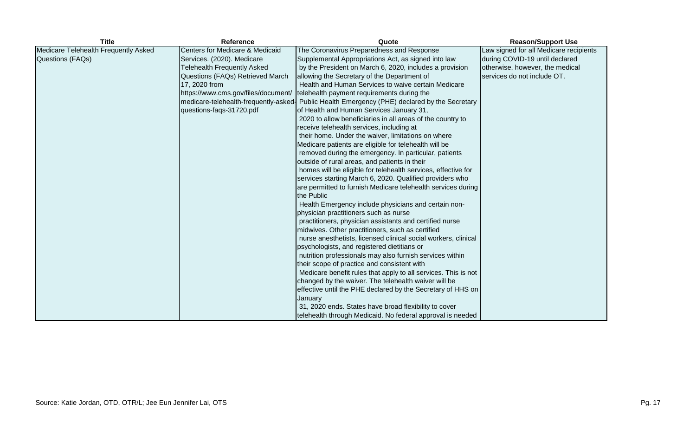| <b>Title</b>                         | <b>Reference</b>                   | Quote                                                                                         | <b>Reason/Support Use</b>              |
|--------------------------------------|------------------------------------|-----------------------------------------------------------------------------------------------|----------------------------------------|
| Medicare Telehealth Frequently Asked | Centers for Medicare & Medicaid    | The Coronavirus Preparedness and Response                                                     | Law signed for all Medicare recipients |
| Questions (FAQs)                     | Services. (2020). Medicare         | Supplemental Appropriations Act, as signed into law                                           | during COVID-19 until declared         |
|                                      | <b>Telehealth Frequently Asked</b> | by the President on March 6, 2020, includes a provision                                       | otherwise, however, the medical        |
|                                      | Questions (FAQs) Retrieved March   | allowing the Secretary of the Department of                                                   | services do not include OT.            |
|                                      | 17, 2020 from                      | Health and Human Services to waive certain Medicare                                           |                                        |
|                                      |                                    | https://www.cms.gov/files/document/   telehealth payment requirements during the              |                                        |
|                                      |                                    | medicare-telehealth-frequently-asked- Public Health Emergency (PHE) declared by the Secretary |                                        |
|                                      | questions-faqs-31720.pdf           | of Health and Human Services January 31,                                                      |                                        |
|                                      |                                    | 2020 to allow beneficiaries in all areas of the country to                                    |                                        |
|                                      |                                    | receive telehealth services, including at                                                     |                                        |
|                                      |                                    | their home. Under the waiver, limitations on where                                            |                                        |
|                                      |                                    | Medicare patients are eligible for telehealth will be                                         |                                        |
|                                      |                                    | removed during the emergency. In particular, patients                                         |                                        |
|                                      |                                    | outside of rural areas, and patients in their                                                 |                                        |
|                                      |                                    | homes will be eligible for telehealth services, effective for                                 |                                        |
|                                      |                                    | services starting March 6, 2020. Qualified providers who                                      |                                        |
|                                      |                                    | are permitted to furnish Medicare telehealth services during                                  |                                        |
|                                      |                                    | the Public                                                                                    |                                        |
|                                      |                                    | Health Emergency include physicians and certain non-                                          |                                        |
|                                      |                                    | physician practitioners such as nurse                                                         |                                        |
|                                      |                                    | practitioners, physician assistants and certified nurse                                       |                                        |
|                                      |                                    | midwives. Other practitioners, such as certified                                              |                                        |
|                                      |                                    | nurse anesthetists, licensed clinical social workers, clinical                                |                                        |
|                                      |                                    | psychologists, and registered dietitians or                                                   |                                        |
|                                      |                                    | nutrition professionals may also furnish services within                                      |                                        |
|                                      |                                    | their scope of practice and consistent with                                                   |                                        |
|                                      |                                    | Medicare benefit rules that apply to all services. This is not                                |                                        |
|                                      |                                    | changed by the waiver. The telehealth waiver will be                                          |                                        |
|                                      |                                    | effective until the PHE declared by the Secretary of HHS on                                   |                                        |
|                                      |                                    | January                                                                                       |                                        |
|                                      |                                    | 31, 2020 ends. States have broad flexibility to cover                                         |                                        |
|                                      |                                    | telehealth through Medicaid. No federal approval is needed                                    |                                        |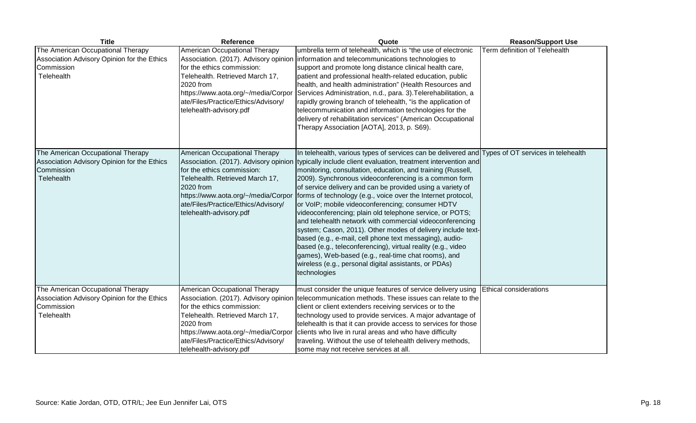| <b>Title</b>                                                                                                 | <b>Reference</b>                                                                                                                                                                                                                                              | Quote                                                                                                                                                                                                                                                                                                                                                                                                                                                                                                                                                                                                                                                                                                                                                                                                                                                                                                                           | <b>Reason/Support Use</b>     |
|--------------------------------------------------------------------------------------------------------------|---------------------------------------------------------------------------------------------------------------------------------------------------------------------------------------------------------------------------------------------------------------|---------------------------------------------------------------------------------------------------------------------------------------------------------------------------------------------------------------------------------------------------------------------------------------------------------------------------------------------------------------------------------------------------------------------------------------------------------------------------------------------------------------------------------------------------------------------------------------------------------------------------------------------------------------------------------------------------------------------------------------------------------------------------------------------------------------------------------------------------------------------------------------------------------------------------------|-------------------------------|
| The American Occupational Therapy<br>Association Advisory Opinion for the Ethics<br>Commission<br>Telehealth | American Occupational Therapy<br>Association. (2017). Advisory opinion<br>for the ethics commission:<br>Telehealth. Retrieved March 17,<br>2020 from<br>https://www.aota.org/~/media/Corpor<br>ate/Files/Practice/Ethics/Advisory/<br>telehealth-advisory.pdf | umbrella term of telehealth, which is "the use of electronic<br>information and telecommunications technologies to<br>support and promote long distance clinical health care,<br>patient and professional health-related education, public<br>health, and health administration" (Health Resources and<br>Services Administration, n.d., para. 3). Telerehabilitation, a<br>rapidly growing branch of telehealth, "is the application of<br>telecommunication and information technologies for the<br>delivery of rehabilitation services" (American Occupational<br>Therapy Association [AOTA], 2013, p. S69).                                                                                                                                                                                                                                                                                                                 | Term definition of Telehealth |
| The American Occupational Therapy<br>Association Advisory Opinion for the Ethics<br>Commission<br>Telehealth | American Occupational Therapy<br>Association. (2017). Advisory opinion<br>for the ethics commission:<br>Telehealth. Retrieved March 17,<br>2020 from<br>https://www.aota.org/~/media/Corpor<br>ate/Files/Practice/Ethics/Advisory/<br>telehealth-advisory.pdf | In telehealth, various types of services can be delivered and Types of OT services in telehealth<br>typically include client evaluation, treatment intervention and<br>monitoring, consultation, education, and training (Russell,<br>2009). Synchronous videoconferencing is a common form<br>of service delivery and can be provided using a variety of<br>forms of technology (e.g., voice over the Internet protocol,<br>or VoIP; mobile videoconferencing; consumer HDTV<br>videoconferencing; plain old telephone service, or POTS;<br>and telehealth network with commercial videoconferencing<br>system; Cason, 2011). Other modes of delivery include text-<br>based (e.g., e-mail, cell phone text messaging), audio-<br>based (e.g., teleconferencing), virtual reality (e.g., video<br>games), Web-based (e.g., real-time chat rooms), and<br>wireless (e.g., personal digital assistants, or PDAs)<br>technologies |                               |
| The American Occupational Therapy<br>Association Advisory Opinion for the Ethics                             | American Occupational Therapy<br>Association. (2017). Advisory opinion                                                                                                                                                                                        | must consider the unique features of service delivery using<br>telecommunication methods. These issues can relate to the                                                                                                                                                                                                                                                                                                                                                                                                                                                                                                                                                                                                                                                                                                                                                                                                        | <b>Ethical considerations</b> |
| Commission                                                                                                   | for the ethics commission:                                                                                                                                                                                                                                    | client or client extenders receiving services or to the                                                                                                                                                                                                                                                                                                                                                                                                                                                                                                                                                                                                                                                                                                                                                                                                                                                                         |                               |
| Telehealth                                                                                                   | Telehealth. Retrieved March 17,                                                                                                                                                                                                                               | technology used to provide services. A major advantage of                                                                                                                                                                                                                                                                                                                                                                                                                                                                                                                                                                                                                                                                                                                                                                                                                                                                       |                               |
|                                                                                                              |                                                                                                                                                                                                                                                               |                                                                                                                                                                                                                                                                                                                                                                                                                                                                                                                                                                                                                                                                                                                                                                                                                                                                                                                                 |                               |
|                                                                                                              |                                                                                                                                                                                                                                                               |                                                                                                                                                                                                                                                                                                                                                                                                                                                                                                                                                                                                                                                                                                                                                                                                                                                                                                                                 |                               |
|                                                                                                              |                                                                                                                                                                                                                                                               |                                                                                                                                                                                                                                                                                                                                                                                                                                                                                                                                                                                                                                                                                                                                                                                                                                                                                                                                 |                               |
|                                                                                                              | 2020 from<br>https://www.aota.org/~/media/Corpor<br>ate/Files/Practice/Ethics/Advisory/<br>telehealth-advisory.pdf                                                                                                                                            | telehealth is that it can provide access to services for those<br>clients who live in rural areas and who have difficulty<br>traveling. Without the use of telehealth delivery methods,<br>some may not receive services at all.                                                                                                                                                                                                                                                                                                                                                                                                                                                                                                                                                                                                                                                                                                |                               |